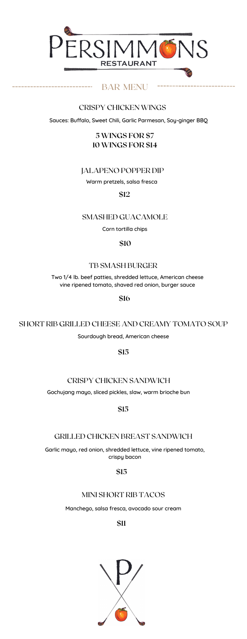

# BAR MENU

. . . . . . . . . .

#### CRISPY CHICKEN WINGS

Sauces: Buffalo, Sweet Chili, Garlic Parmesan, Soy-ginger BBQ

**5 WINGS FOR \$7 10 WINGS FOR \$14**

#### JALAPENO POPPER DIP

Warm pretzels, salsa fresca

**\$12**

SMASHED GUACAMOLE

Corn tortilla chips

**\$10**

#### TB SMASH BURGER

Two 1/4 lb. beef patties, shredded lettuce, American cheese vine ripened tomato, shaved red onion, burger sauce

**\$16**

SHORT RIB GRILLED CHEESE AND CREAMY TOMATO SOUP

Sourdough bread, American cheese

**\$15**

## CRISPY CHICKEN SANDWICH

Gochujang mayo, sliced pickles, slaw, warm brioche bun

**\$15**

#### GRILLED CHICKEN BREAST SANDWICH

Garlic mayo, red onion, shredded lettuce, vine ripened tomato, crispy bacon

**\$15**

#### MINI SHORT RIB TACOS

Manchego, salsa fresca, avocado sour cream

**\$11**

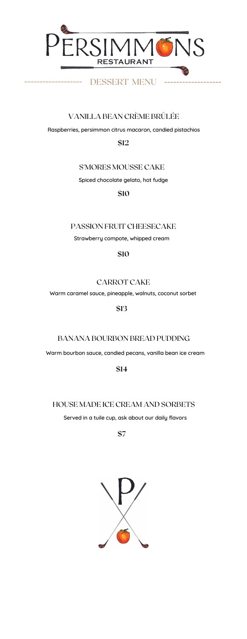

## DESSERT MENU

 $\sim$   $\sim$   $\sim$ 

------

## VANILLA BEAN CRÈME BRÛLÉE

Raspberries, persimmon citrus macaron, candied pistachios

**\$12**

#### S'MORES MOUSSE CAKE

Spiced chocolate gelato, hot fudge

**\$10**

#### PASSION FRUIT CHEESECAKE

Strawberry compote, whipped cream

**\$10**

## CARROT CAKE

Warm caramel sauce, pineapple, walnuts, coconut sorbet

**\$13**

#### BANANA BOURBON BREAD PUDDING

Warm bourbon sauce, candied pecans, vanilla bean ice cream

**\$14**

#### HOUSE MADE ICE CREAM AND SORBETS

Served in a tuile cup, ask about our daily flavors

**\$7**

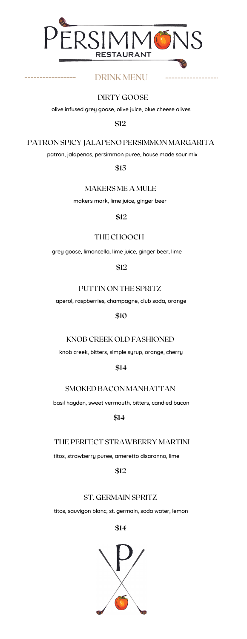

# DRINK MENU

## DIRTY GOOSE

olive infused grey goose, olive juice, blue cheese olives

**\$12**

PATRON SPICY JALAPENO PERSIMMON MARGARITA

patron, jalapenos, persimmon puree, house made sour mix

**\$15**

MAKERS ME A MULE

makers mark, lime juice, ginger beer

**\$12**

THE CHOOCH

grey goose, limoncello, lime juice, ginger beer, lime

**\$12**

PUTTIN ON THE SPRITZ

aperol, raspberries, champagne, club soda, orange

**\$10**

#### KNOB CREEK OLD FASHIONED

knob creek, bitters, simple syrup, orange, cherry

**\$14**

#### SMOKED BACON MANHATTAN

basil hayden, sweet vermouth, bitters, candied bacon

**\$14**

#### THE PERFECT STRAWBERRY MARTINI

titos, strawberry puree, ameretto disaronno, lime

**\$12**

### ST. GERMAIN SPRITZ

titos, sauvigon blanc, st. germain, soda water, lemon

**\$14**

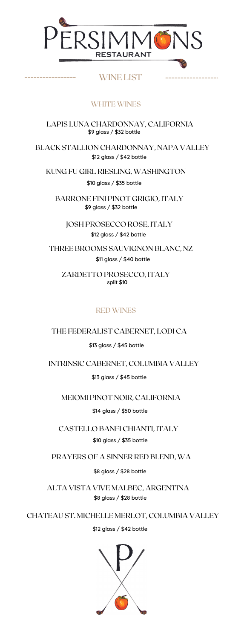

# WINE LIST

## WHITE WINES

\$9 glass / \$32 bottle LAPIS LUNA CHARDONNAY, CALIFORNIA

\$12 glass / \$42 bottle BLACK STALLION CHARDONNAY, NAPA VALLEY

\$10 glass / \$35 bottle KUNG FU GIRL RIESLING, WASHINGTON

\$9 glass / \$32 bottle BARRONE FINI PINOT GRIGIO, ITALY

\$12 glass / \$42 bottle JOSH PROSECCO ROSE, ITALY

\$11 glass / \$40 bottle THREE BROOMS SAUVIGNON BLANC, NZ

ZARDETTO PROSECCO, ITALY split \$10

## RED WINES

THE FEDERALIST CABERNET, LODI CA

\$13 glass / \$45 bottle

INTRINSIC CABERNET, COLUMBIA VALLEY

\$13 glass / \$45 bottle

MEIOMI PINOT NOIR, CALIFORNIA

\$14 glass / \$50 bottle

CASTELLO BANFI CHIANTI, ITALY \$10 glass / \$35 bottle

PRAYERS OF A SINNER RED BLEND, WA

\$8 glass / \$28 bottle

ALTA VISTA VIVE MALBEC, ARGENTINA \$8 glass / \$28 bottle

CHATEAU ST. MICHELLE MERLOT, COLUMBIA VALLEY

#### \$12 glass / \$42 bottle